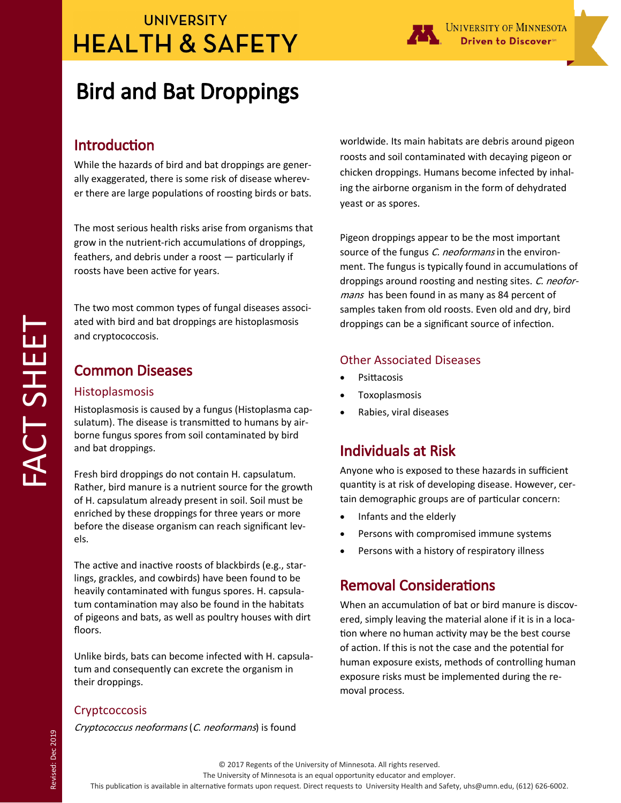# **UNIVERSITY HEALTH & SAFETY**



## Introduction

While the hazards of bird and bat droppings are generally exaggerated, there is some risk of disease wherever there are large populations of roosting birds or bats.

The most serious health risks arise from organisms that grow in the nutrient-rich accumulations of droppings, feathers, and debris under a roost — particularly if roosts have been active for years.

The two most common types of fungal diseases associated with bird and bat droppings are histoplasmosis and cryptococcosis.

## Common Diseases

### Histoplasmosis

Histoplasmosis is caused by a fungus (Histoplasma capsulatum). The disease is transmitted to humans by airborne fungus spores from soil contaminated by bird and bat droppings.

Fresh bird droppings do not contain H. capsulatum. Rather, bird manure is a nutrient source for the growth of H. capsulatum already present in soil. Soil must be enriched by these droppings for three years or more before the disease organism can reach significant levels.

The active and inactive roosts of blackbirds (e.g., starlings, grackles, and cowbirds) have been found to be heavily contaminated with fungus spores. H. capsulatum contamination may also be found in the habitats of pigeons and bats, as well as poultry houses with dirt floors.

Unlike birds, bats can become infected with H. capsulatum and consequently can excrete the organism in their droppings.

### **Cryptcoccosis**

Revised: Dec 2019

Revised: Dec 2019

Cryptococcus neoformans (C. neoformans) is found

worldwide. Its main habitats are debris around pigeon roosts and soil contaminated with decaying pigeon or chicken droppings. Humans become infected by inhaling the airborne organism in the form of dehydrated yeast or as spores.

Driven to Discover<sup>∞</sup>

Pigeon droppings appear to be the most important source of the fungus C. neoformans in the environment. The fungus is typically found in accumulations of droppings around roosting and nesting sites. C. neoformans has been found in as many as 84 percent of samples taken from old roosts. Even old and dry, bird droppings can be a significant source of infection.

### Other Associated Diseases

- Psittacosis
- Toxoplasmosis
- Rabies, viral diseases

## Individuals at Risk

Anyone who is exposed to these hazards in sufficient quantity is at risk of developing disease. However, certain demographic groups are of particular concern:

- Infants and the elderly
- Persons with compromised immune systems
- Persons with a history of respiratory illness

## Removal Considerations

When an accumulation of bat or bird manure is discovered, simply leaving the material alone if it is in a location where no human activity may be the best course of action. If this is not the case and the potential for human exposure exists, methods of controlling human exposure risks must be implemented during the removal process.

#### The University of Minnesota is an equal opportunity educator and employer.

This publication is available in alternative formats upon request. Direct requests to University Health and Safety, uhs@umn.edu, (612) 626-6002.